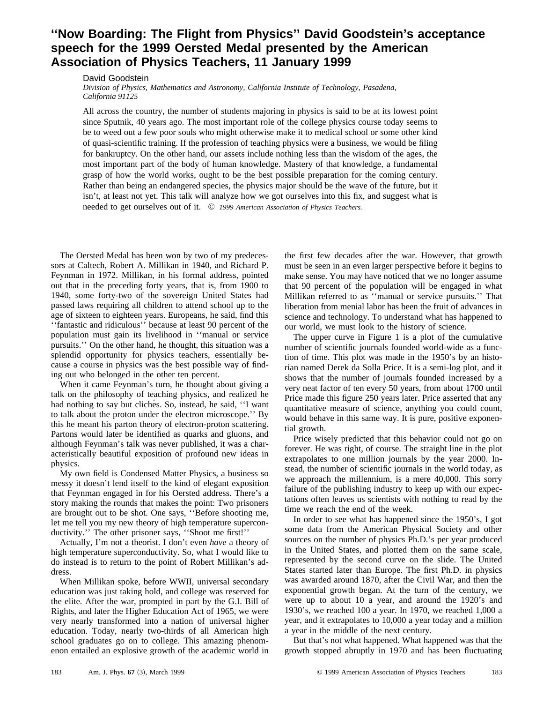## **''Now Boarding: The Flight from Physics'' David Goodstein's acceptance speech for the 1999 Oersted Medal presented by the American Association of Physics Teachers, 11 January 1999**

David Goodstein

*Division of Physics, Mathematics and Astronomy, California Institute of Technology, Pasadena, California 91125*

All across the country, the number of students majoring in physics is said to be at its lowest point since Sputnik, 40 years ago. The most important role of the college physics course today seems to be to weed out a few poor souls who might otherwise make it to medical school or some other kind of quasi-scientific training. If the profession of teaching physics were a business, we would be filing for bankruptcy. On the other hand, our assets include nothing less than the wisdom of the ages, the most important part of the body of human knowledge. Mastery of that knowledge, a fundamental grasp of how the world works, ought to be the best possible preparation for the coming century. Rather than being an endangered species, the physics major should be the wave of the future, but it isn't, at least not yet. This talk will analyze how we got ourselves into this fix, and suggest what is needed to get ourselves out of it. © *1999 American Association of Physics Teachers.*

The Oersted Medal has been won by two of my predecessors at Caltech, Robert A. Millikan in 1940, and Richard P. Feynman in 1972. Millikan, in his formal address, pointed out that in the preceding forty years, that is, from 1900 to 1940, some forty-two of the sovereign United States had passed laws requiring all children to attend school up to the age of sixteen to eighteen years. Europeans, he said, find this ''fantastic and ridiculous'' because at least 90 percent of the population must gain its livelihood in ''manual or service pursuits.'' On the other hand, he thought, this situation was a splendid opportunity for physics teachers, essentially because a course in physics was the best possible way of finding out who belonged in the other ten percent.

When it came Feynman's turn, he thought about giving a talk on the philosophy of teaching physics, and realized he had nothing to say but cliches. So, instead, he said, "I want to talk about the proton under the electron microscope.'' By this he meant his parton theory of electron-proton scattering. Partons would later be identified as quarks and gluons, and although Feynman's talk was never published, it was a characteristically beautiful exposition of profound new ideas in physics.

My own field is Condensed Matter Physics, a business so messy it doesn't lend itself to the kind of elegant exposition that Feynman engaged in for his Oersted address. There's a story making the rounds that makes the point: Two prisoners are brought out to be shot. One says, ''Before shooting me, let me tell you my new theory of high temperature superconductivity.'' The other prisoner says, ''Shoot me first!''

Actually, I'm not a theorist. I don't even *have* a theory of high temperature superconductivity. So, what I would like to do instead is to return to the point of Robert Millikan's address.

When Millikan spoke, before WWII, universal secondary education was just taking hold, and college was reserved for the elite. After the war, prompted in part by the G.I. Bill of Rights, and later the Higher Education Act of 1965, we were very nearly transformed into a nation of universal higher education. Today, nearly two-thirds of all American high school graduates go on to college. This amazing phenomenon entailed an explosive growth of the academic world in the first few decades after the war. However, that growth must be seen in an even larger perspective before it begins to make sense. You may have noticed that we no longer assume that 90 percent of the population will be engaged in what Millikan referred to as ''manual or service pursuits.'' That liberation from menial labor has been the fruit of advances in science and technology. To understand what has happened to our world, we must look to the history of science.

The upper curve in Figure 1 is a plot of the cumulative number of scientific journals founded world-wide as a function of time. This plot was made in the 1950's by an historian named Derek da Solla Price. It is a semi-log plot, and it shows that the number of journals founded increased by a very neat factor of ten every 50 years, from about 1700 until Price made this figure 250 years later. Price asserted that any quantitative measure of science, anything you could count, would behave in this same way. It is pure, positive exponential growth.

Price wisely predicted that this behavior could not go on forever. He was right, of course. The straight line in the plot extrapolates to one million journals by the year 2000. Instead, the number of scientific journals in the world today, as we approach the millennium, is a mere 40,000. This sorry failure of the publishing industry to keep up with our expectations often leaves us scientists with nothing to read by the time we reach the end of the week.

In order to see what has happened since the 1950's, I got some data from the American Physical Society and other sources on the number of physics Ph.D.'s per year produced in the United States, and plotted them on the same scale, represented by the second curve on the slide. The United States started later than Europe. The first Ph.D. in physics was awarded around 1870, after the Civil War, and then the exponential growth began. At the turn of the century, we were up to about 10 a year, and around the 1920's and 1930's, we reached 100 a year. In 1970, we reached 1,000 a year, and it extrapolates to 10,000 a year today and a million a year in the middle of the next century.

But that's not what happened. What happened was that the growth stopped abruptly in 1970 and has been fluctuating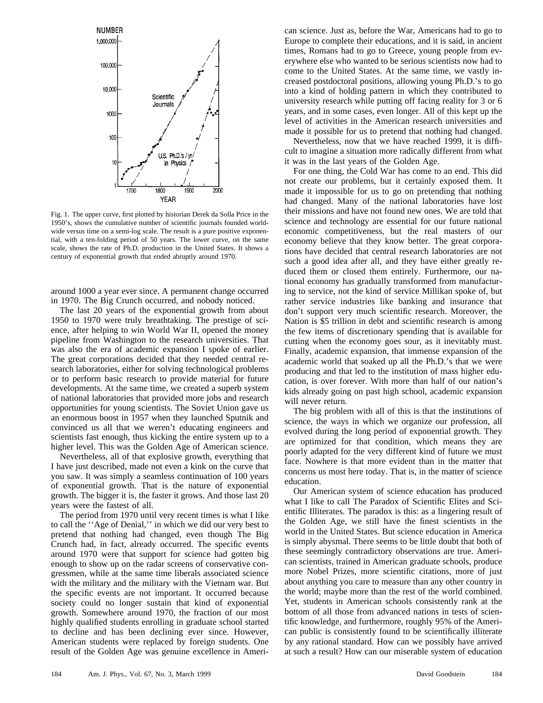

Fig. 1. The upper curve, first plotted by historian Derek da Solla Price in the 1950's, shows the cumulative number of scientific journals founded worldwide versus time on a semi-log scale. The result is a pure positive exponential, with a ten-folding period of 50 years. The lower curve, on the same scale, shows the rate of Ph.D. production in the United States. It shows a century of exponential growth that ended abruptly around 1970.

around 1000 a year ever since. A permanent change occurred in 1970. The Big Crunch occurred, and nobody noticed.

The last 20 years of the exponential growth from about 1950 to 1970 were truly breathtaking. The prestige of science, after helping to win World War II, opened the money pipeline from Washington to the research universities. That was also the era of academic expansion I spoke of earlier. The great corporations decided that they needed central research laboratories, either for solving technological problems or to perform basic research to provide material for future developments. At the same time, we created a superb system of national laboratories that provided more jobs and research opportunities for young scientists. The Soviet Union gave us an enormous boost in 1957 when they launched Sputnik and convinced us all that we weren't educating engineers and scientists fast enough, thus kicking the entire system up to a higher level. This was the Golden Age of American science.

Nevertheless, all of that explosive growth, everything that I have just described, made not even a kink on the curve that you saw. It was simply a seamless continuation of 100 years of exponential growth. That is the nature of exponential growth. The bigger it is, the faster it grows. And those last 20 years were the fastest of all.

The period from 1970 until very recent times is what I like to call the ''Age of Denial,'' in which we did our very best to pretend that nothing had changed, even though The Big Crunch had, in fact, already occurred. The specific events around 1970 were that support for science had gotten big enough to show up on the radar screens of conservative congressmen, while at the same time liberals associated science with the military and the military with the Vietnam war. But the specific events are not important. It occurred because society could no longer sustain that kind of exponential growth. Somewhere around 1970, the fraction of our most highly qualified students enrolling in graduate school started to decline and has been declining ever since. However, American students were replaced by foreign students. One result of the Golden Age was genuine excellence in American science. Just as, before the War, Americans had to go to Europe to complete their educations, and it is said, in ancient times, Romans had to go to Greece, young people from everywhere else who wanted to be serious scientists now had to come to the United States. At the same time, we vastly increased postdoctoral positions, allowing young Ph.D.'s to go into a kind of holding pattern in which they contributed to university research while putting off facing reality for 3 or 6 years, and in some cases, even longer. All of this kept up the level of activities in the American research universities and made it possible for us to pretend that nothing had changed.

Nevertheless, now that we have reached 1999, it is difficult to imagine a situation more radically different from what it was in the last years of the Golden Age.

For one thing, the Cold War has come to an end. This did not create our problems, but it certainly exposed them. It made it impossible for us to go on pretending that nothing had changed. Many of the national laboratories have lost their missions and have not found new ones. We are told that science and technology are essential for our future national economic competitiveness, but the real masters of our economy believe that they know better. The great corporations have decided that central research laboratories are not such a good idea after all, and they have either greatly reduced them or closed them entirely. Furthermore, our national economy has gradually transformed from manufacturing to service, not the kind of service Millikan spoke of, but rather service industries like banking and insurance that don't support very much scientific research. Moreover, the Nation is \$5 trillion in debt and scientific research is among the few items of discretionary spending that is available for cutting when the economy goes sour, as it inevitably must. Finally, academic expansion, that immense expansion of the academic world that soaked up all the Ph.D.'s that we were producing and that led to the institution of mass higher education, is over forever. With more than half of our nation's kids already going on past high school, academic expansion will never return.

The big problem with all of this is that the institutions of science, the ways in which we organize our profession, all evolved during the long period of exponential growth. They are optimized for that condition, which means they are poorly adapted for the very different kind of future we must face. Nowhere is that more evident than in the matter that concerns us most here today. That is, in the matter of science education.

Our American system of science education has produced what I like to call The Paradox of Scientific Elites and Scientific Illiterates. The paradox is this: as a lingering result of the Golden Age, we still have the finest scientists in the world in the United States. But science education in America is simply abysmal. There seems to be little doubt that both of these seemingly contradictory observations are true. American scientists, trained in American graduate schools, produce more Nobel Prizes, more scientific citations, more of just about anything you care to measure than any other country in the world; maybe more than the rest of the world combined. Yet, students in American schools consistently rank at the bottom of all those from advanced nations in tests of scientific knowledge, and furthermore, roughly 95% of the American public is consistently found to be scientifically illiterate by any rational standard. How can we possibly have arrived at such a result? How can our miserable system of education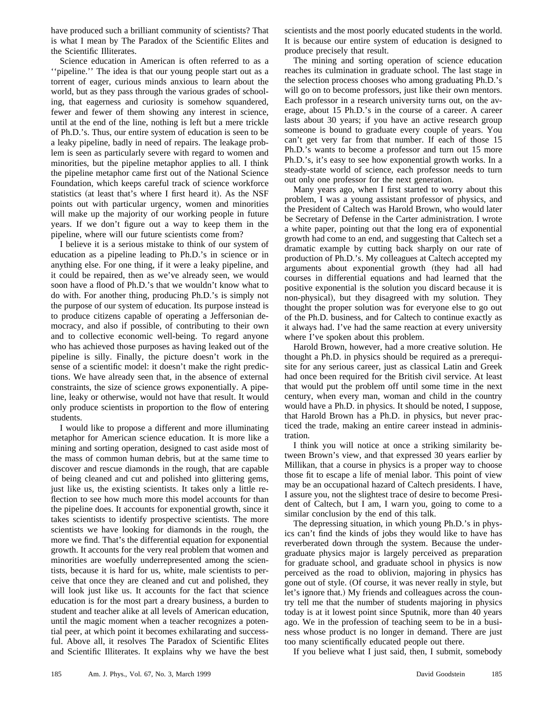have produced such a brilliant community of scientists? That is what I mean by The Paradox of the Scientific Elites and the Scientific Illiterates.

Science education in American is often referred to as a ''pipeline.'' The idea is that our young people start out as a torrent of eager, curious minds anxious to learn about the world, but as they pass through the various grades of schooling, that eagerness and curiosity is somehow squandered, fewer and fewer of them showing any interest in science, until at the end of the line, nothing is left but a mere trickle of Ph.D.'s. Thus, our entire system of education is seen to be a leaky pipeline, badly in need of repairs. The leakage problem is seen as particularly severe with regard to women and minorities, but the pipeline metaphor applies to all. I think the pipeline metaphor came first out of the National Science Foundation, which keeps careful track of science workforce statistics (at least that's where I first heard it). As the NSF points out with particular urgency, women and minorities will make up the majority of our working people in future years. If we don't figure out a way to keep them in the pipeline, where will our future scientists come from?

I believe it is a serious mistake to think of our system of education as a pipeline leading to Ph.D.'s in science or in anything else. For one thing, if it were a leaky pipeline, and it could be repaired, then as we've already seen, we would soon have a flood of Ph.D.'s that we wouldn't know what to do with. For another thing, producing Ph.D.'s is simply not the purpose of our system of education. Its purpose instead is to produce citizens capable of operating a Jeffersonian democracy, and also if possible, of contributing to their own and to collective economic well-being. To regard anyone who has achieved those purposes as having leaked out of the pipeline is silly. Finally, the picture doesn't work in the sense of a scientific model: it doesn't make the right predictions. We have already seen that, in the absence of external constraints, the size of science grows exponentially. A pipeline, leaky or otherwise, would not have that result. It would only produce scientists in proportion to the flow of entering students.

I would like to propose a different and more illuminating metaphor for American science education. It is more like a mining and sorting operation, designed to cast aside most of the mass of common human debris, but at the same time to discover and rescue diamonds in the rough, that are capable of being cleaned and cut and polished into glittering gems, just like us, the existing scientists. It takes only a little reflection to see how much more this model accounts for than the pipeline does. It accounts for exponential growth, since it takes scientists to identify prospective scientists. The more scientists we have looking for diamonds in the rough, the more we find. That's the differential equation for exponential growth. It accounts for the very real problem that women and minorities are woefully underrepresented among the scientists, because it is hard for us, white, male scientists to perceive that once they are cleaned and cut and polished, they will look just like us. It accounts for the fact that science education is for the most part a dreary business, a burden to student and teacher alike at all levels of American education, until the magic moment when a teacher recognizes a potential peer, at which point it becomes exhilarating and successful. Above all, it resolves The Paradox of Scientific Elites and Scientific Illiterates. It explains why we have the best scientists and the most poorly educated students in the world. It is because our entire system of education is designed to produce precisely that result.

The mining and sorting operation of science education reaches its culmination in graduate school. The last stage in the selection process chooses who among graduating Ph.D.'s will go on to become professors, just like their own mentors. Each professor in a research university turns out, on the average, about 15 Ph.D.'s in the course of a career. A career lasts about 30 years; if you have an active research group someone is bound to graduate every couple of years. You can't get very far from that number. If each of those 15 Ph.D.'s wants to become a professor and turn out 15 more Ph.D.'s, it's easy to see how exponential growth works. In a steady-state world of science, each professor needs to turn out only one professor for the next generation.

Many years ago, when I first started to worry about this problem, I was a young assistant professor of physics, and the President of Caltech was Harold Brown, who would later be Secretary of Defense in the Carter administration. I wrote a white paper, pointing out that the long era of exponential growth had come to an end, and suggesting that Caltech set a dramatic example by cutting back sharply on our rate of production of Ph.D.'s. My colleagues at Caltech accepted my arguments about exponential growth (they had all had courses in differential equations and had learned that the positive exponential is the solution you discard because it is non-physical), but they disagreed with my solution. They thought the proper solution was for everyone else to go out of the Ph.D. business, and for Caltech to continue exactly as it always had. I've had the same reaction at every university where I've spoken about this problem.

Harold Brown, however, had a more creative solution. He thought a Ph.D. in physics should be required as a prerequisite for any serious career, just as classical Latin and Greek had once been required for the British civil service. At least that would put the problem off until some time in the next century, when every man, woman and child in the country would have a Ph.D. in physics. It should be noted, I suppose, that Harold Brown has a Ph.D. in physics, but never practiced the trade, making an entire career instead in administration.

I think you will notice at once a striking similarity between Brown's view, and that expressed 30 years earlier by Millikan, that a course in physics is a proper way to choose those fit to escape a life of menial labor. This point of view may be an occupational hazard of Caltech presidents. I have, I assure you, not the slightest trace of desire to become President of Caltech, but I am, I warn you, going to come to a similar conclusion by the end of this talk.

The depressing situation, in which young Ph.D.'s in physics can't find the kinds of jobs they would like to have has reverberated down through the system. Because the undergraduate physics major is largely perceived as preparation for graduate school, and graduate school in physics is now perceived as the road to oblivion, majoring in physics has gone out of style. (Of course, it was never really in style, but let's ignore that.) My friends and colleagues across the country tell me that the number of students majoring in physics today is at it lowest point since Sputnik, more than 40 years ago. We in the profession of teaching seem to be in a business whose product is no longer in demand. There are just too many scientifically educated people out there.

If you believe what I just said, then, I submit, somebody